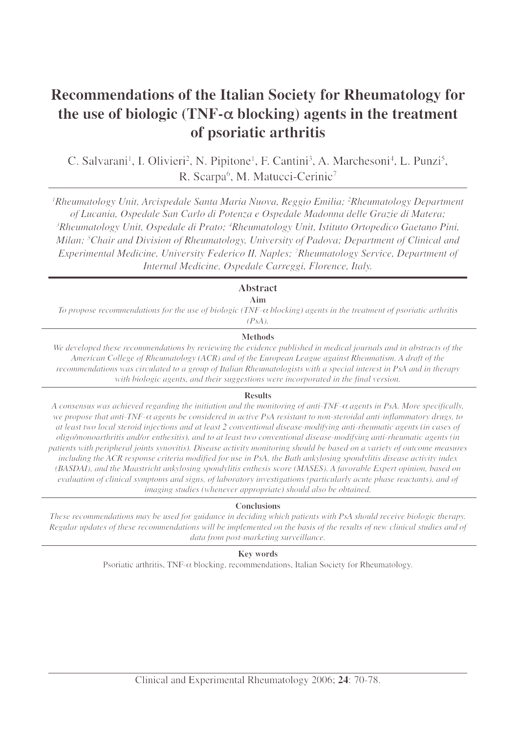# **Recommendations of the Italian Society for Rheumatology for the use of biologic (TNF-**α **blocking) agents in the treatment of psoriatic arthritis**

C. Salvarani<sup>1</sup>, I. Olivieri<sup>2</sup>, N. Pipitone<sup>1</sup>, F. Cantini<sup>3</sup>, A. Marchesoni<sup>4</sup>, L. Punzi<sup>5</sup>, R. Scarpa<sup>6</sup>, M. Matucci-Cerinic<sup>7</sup>

<sup>1</sup>Rheumatology Unit, Arcispedale Santa Maria Nuova, Reggio Emilia; <sup>2</sup>Rheumatology Department *of Lucania, Ospedale San Carlo di Potenza e Ospedale Madonna delle Grazie di Matera; 3 Rheumatology Unit, Ospedale di Prato; 4 Rheumatology Unit, Istituto Ortopedico Gaetano Pini, Milan; 5 Chair and Division of Rheumatology, University of Padova; Department of Clinical and Experimental Medicine, University Federico II, Naples; 7 Rheumatology Service, Department of Internal Medicine, Ospedale Carreggi, Florence, Italy.*

# **Abstract**

**Aim**

*To propose recommendations for the use of biologic (TNF-*<sup>α</sup> *blocking) agents in the treatment of psoriatic arthritis (PsA).*

# **Methods**

*We developed these recommendations by reviewing the evidence published in medical journals and in abstracts of the American College of Rheumatology (ACR) and of the European League against Rheumatism. A draft of the recommendations was circulated to a group of Italian Rheumatologists with a special interest in PsA and in therapy with biologic agents, and their suggestions were incorporated in the final version.*

# **Results**

*A consensus was achieved regarding the initiation and the monitoring of anti-TNF-*<sup>α</sup> *agents in PsA. More specifically, we propose that anti-TNF-*<sup>α</sup> *agents be considered in active PsA resistant to non-steroidal anti-inflammatory drugs, to at least two local steroid injections and at least 2 conventional disease-modifying anti-rheumatic agents (in cases of oligo/monoarthritis and/or enthesitis), and to at least two conventional disease-modifying anti-rheumatic agents (in patients with peripheral joints synovitis). Disease activity monitoring should be based on a variety of outcome measures including the ACR response criteria modified for use in PsA, the Bath ankylosing spondylitis disease activity index (BASDAI), and the Maastricht ankylosing spondylitis enthesis score (MASES). A favorable Expert opinion, based on evaluation of clinical symptoms and signs, of laboratory investigations (particularly acute phase reactants), and of imaging studies (whenever appropriate) should also be obtained.*

# **Conclusions**

*These recommendations may be used for guidance in deciding which patients with PsA should receive biologic therapy. Regular updates of these recommendations will be implemented on the basis of the results of new clinical studies and of data from post-marketing surveillance.*

# **Key words**

Psoriatic arthritis, TNF- $\alpha$  blocking, recommendations, Italian Society for Rheumatology.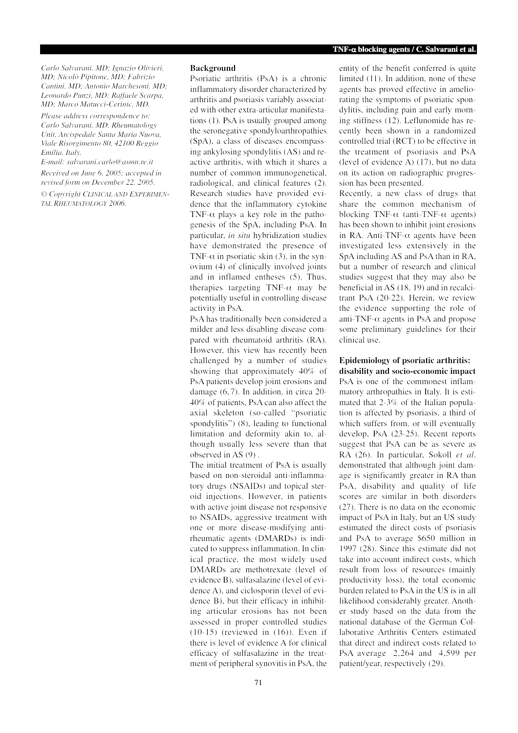*Carlo Salvarani, MD; Ignazio Olivieri, MD; Nicolò Pipitone, MD; Fabrizio Cantini, MD; Antonio Marchesoni, MD; Leonardo Punzi, MD; Raffaele Scarpa, MD; Marco Matucci-Cerinic, MD.*

*Please address correspondence to: Carlo Salvarani, MD, Rheumatology Unit, Arcispedale Santa Maria Nuova, Viale Risorgimento 80, 42100 Reggio Emilia, Italy.*

*E-mail: salvarani.carlo@asmn.re.it Received on June 6, 2005; accepted in revised form on December 22, 2005.*

*© Copyright CLINICAL AND EXPERIMEN-TAL RHEUMATOLOGY 2006.*

# **Background**

Psoriatic arthritis (PsA) is a chronic inflammatory disorder characterized by arthritis and psoriasis variably associated with other extra-articular manifestations (1). PsA is usually grouped among the seronegative spondyloarthropathies (SpA), a class of diseases encompassing ankylosing spondylitis (AS) and reactive arthritis, with which it shares a number of common immunogenetical, radiological, and clinical features (2). Research studies have provided evidence that the inflammatory cytokine TNF- $\alpha$  plays a key role in the pathogenesis of the SpA, including PsA. In particular, *in situ* hybridization studies have demonstrated the presence of TNF- $\alpha$  in psoriatic skin (3), in the synovium (4) of clinically involved joints and in inflamed entheses (5). Thus, therapies targeting TNF- $\alpha$  may be potentially useful in controlling disease activity in PsA.

PsA has traditionally been considered a milder and less disabling disease compared with rheumatoid arthritis (RA). However, this view has recently been challenged by a number of studies showing that approximately 40% of PsA patients develop joint erosions and damage (6, 7). In addition, in circa 20- 40% of patients, PsA can also affect the axial skeleton (so-called "psoriatic spondylitis") (8), leading to functional limitation and deformity akin to, although usually less severe than that observed in AS (9) .

The initial treatment of PsA is usually based on non-steroidal anti-inflammatory drugs (NSAIDs) and topical steroid injections. However, in patients with active joint disease not responsive to NSAIDs, aggressive treatment with one or more disease-modifying antirheumatic agents (DMARDs) is indicated to suppress inflammation. In clinical practice, the most widely used DMARDs are methotrexate (level of evidence B), sulfasalazine (level of evidence A), and ciclosporin (level of evidence B), but their efficacy in inhibiting articular erosions has not been assessed in proper controlled studies  $(10-15)$  (reviewed in  $(16)$ ). Even if there is level of evidence A for clinical efficacy of sulfasalazine in the treatment of peripheral synovitis in PsA, the entity of the benefit conferred is quite limited (11). In addition, none of these agents has proved effective in ameliorating the symptoms of psoriatic spondylitis, including pain and early morning stiffness (12). Leflunomide has recently been shown in a randomized controlled trial (RCT) to be effective in the treatment of psoriasis and PsA (level of evidence A) (17), but no data on its action on radiographic progression has been presented.

Recently, a new class of drugs that share the common mechanism of blocking TNF- $\alpha$  (anti-TNF- $\alpha$  agents) has been shown to inhibit joint erosions in RA. Anti-TNF- $\alpha$  agents have been investigated less extensively in the SpA including AS and PsA than in RA, but a number of research and clinical studies suggest that they may also be beneficial in AS (18, 19) and in recalcitrant PsA (20-22). Herein, we review the evidence supporting the role of anti-TNF- $\alpha$  agents in PsA and propose some preliminary guidelines for their clinical use.

## **Epidemiology of psoriatic arthritis: disability and socio-economic impact**

PsA is one of the commonest inflammatory arthropathies in Italy. It is estimated that 2-3% of the Italian population is affected by psoriasis, a third of which suffers from, or will eventually develop, PsA (23-25). Recent reports suggest that PsA can be as severe as RA (26). In particular, Sokoll *et al*. demonstrated that although joint damage is significantly greater in RA than PsA, disability and quality of life scores are similar in both disorders (27). There is no data on the economic impact of PsA in Italy, but an US study estimated the direct costs of psoriasis and PsA to average \$650 million in 1997 (28). Since this estimate did not take into account indirect costs, which result from loss of resources (mainly productivity loss), the total economic burden related to PsA in the US is in all likelihood considerably greater. Another study based on the data from the national database of the German Collaborative Arthritis Centers estimated that direct and indirect costs related to PsA average 2,264 and 4,599 per patient/year, respectively (29).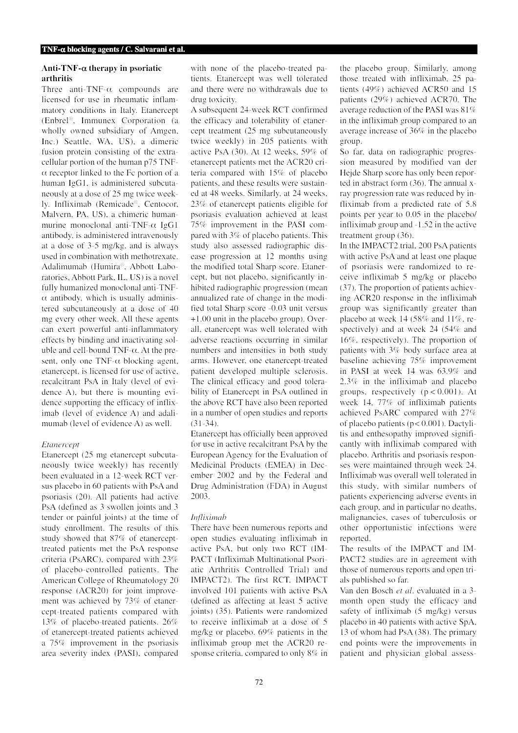# **Anti-TNF-**α **therapy in psoriatic arthritis**

Three anti-TNF-α compounds are licensed for use in rheumatic inflammatory conditions in Italy. Etanercept (Enbrel®, Immunex Corporation (a wholly owned subsidiary of Amgen, Inc.) Seattle, WA, US), a dimeric fusion protein consisting of the extracellular portion of the human p75 TNF- $\alpha$  receptor linked to the Fc portion of a human IgG1, is administered subcutaneously at a dose of 25 mg twice weekly. Infliximab (Remicade®, Centocor, Malvern, PA, US), a chimeric humanmurine monoclonal anti-TNF-α IgG1 antibody, is administered intravenously at a dose of 3-5 mg/kg, and is always used in combination with methotrexate. Adalimumab (Humira®, Abbott Laboratories, Abbott Park, IL, US) is a novel fully humanized monoclonal anti-TNF- $\alpha$  antibody, which is usually administered subcutaneously at a dose of 40 mg every other week. All these agents can exert powerful anti-inflammatory effects by binding and inactivating soluble and cell-bound  $TNF-\alpha$ . At the present, only one TNF- $\alpha$  blocking agent, etanercept, is licensed for use of active, recalcitrant PsA in Italy (level of evidence A), but there is mounting evidence supporting the efficacy of infliximab (level of evidence A) and adalimumab (level of evidence A) as well.

# *Etanercept*

Etanercept (25 mg etanercept subcutaneously twice weekly) has recently been evaluated in a 12-week RCT versus placebo in 60 patients with PsA and psoriasis (20). All patients had active PsA (defined as 3 swollen joints and 3 tender or painful joints) at the time of study enrollment. The results of this study showed that 87% of etanercepttreated patients met the PsA response criteria (PsARC), compared with 23% of placebo-controlled patients. The American College of Rheumatology 20 response (ACR20) for joint improvement was achieved by 73% of etanercept-treated patients compared with 13% of placebo-treated patients. 26% of etanercept-treated patients achieved a 75% improvement in the psoriasis area severity index (PASI), compared

with none of the placebo-treated patients. Etanercept was well tolerated and there were no withdrawals due to drug toxicity.

A subsequent 24-week RCT confirmed the efficacy and tolerability of etanercept treatment (25 mg subcutaneously twice weekly) in 205 patients with active PsA (30). At 12 weeks, 59% of etanercept patients met the ACR20 criteria compared with 15% of placebo patients, and these results were sustained at 48 weeks. Similarly, at 24 weeks, 23% of etanercept patients eligible for psoriasis evaluation achieved at least 75% improvement in the PASI compared with 3% of placebo patients. This study also assessed radiographic disease progression at 12 months using the modified total Sharp score. Etanercept, but not placebo, significantly inhibited radiographic progression (mean annualized rate of change in the modified total Sharp score -0.03 unit versus +1.00 unit in the placebo group). Overall, etanercept was well tolerated with adverse reactions occurring in similar numbers and intensities in both study arms. However, one etanercept-treated patient developed multiple sclerosis. The clinical efficacy and good tolerability of Etanercept in PsA outlined in the above RCT have also been reported in a number of open studies and reports (31-34).

Etanercept has officially been approved for use in active recalcitrant PsA by the European Agency for the Evaluation of Medicinal Products (EMEA) in December 2002 and by the Federal and Drug Administration (FDA) in August 2003.

# *Infliximab*

There have been numerous reports and open studies evaluating infliximab in active PsA, but only two RCT (IM-PACT (Infliximab Multinational Psoriatic Arthritis Controlled Trial) and IMPACT2). The first RCT, IMPACT involved 101 patients with active PsA (defined as affecting at least 5 active joints) (35). Patients were randomized to receive infliximab at a dose of 5 mg/kg or placebo. 69% patients in the infliximab group met the ACR20 response criteria, compared to only 8% in the placebo group. Similarly, among those treated with infliximab, 25 patients (49%) achieved ACR50 and 15 patients (29%) achieved ACR70. The average reduction of the PASI was 81% in the infliximab group compared to an average increase of 36% in the placebo group.

So far, data on radiographic progression measured by modified van der Hejde Sharp score has only been reported in abstract form (36). The annual xray progression rate was reduced by infliximab from a predicted rate of 5.8 points per year to 0.05 in the placebo/ infliximab group and -1.52 in the active treatment group (36).

In the IMPACT2 trial, 200 PsA patients with active PsA and at least one plaque of psoriasis were randomized to receive infliximab 5 mg/kg or placebo (37). The proportion of patients achieving ACR20 response in the infliximab group was significantly greater than placebo at week 14 (58% and 11%, respectively) and at week 24 (54% and 16%, respectively). The proportion of patients with 3% body surface area at baseline achieving 75% improvement in PASI at week 14 was 63.9% and 2.3% in the infliximab and placebo groups, respectively  $(p < 0.001)$ . At week 14, 77% of infliximab patients achieved PsARC compared with 27% of placebo patients (p< 0.001). Dactylitis and enthesopathy improved significantly with infliximab compared with placebo. Arthritis and psoriasis responses were maintained through week 24. Infliximab was overall well tolerated in this study, with similar numbers of patients experiencing adverse events in each group, and in particular no deaths, malignancies, cases of tuberculosis or other opportunistic infections were reported.

The results of the IMPACT and IM-PACT2 studies are in agreement with those of numerous reports and open trials published so far.

Van den Bosch *et al*. evaluated in a 3 month open study the efficacy and safety of infliximab (5 mg/kg) versus placebo in 40 patients with active SpA, 13 of whom had PsA (38). The primary end points were the improvements in patient and physician global assess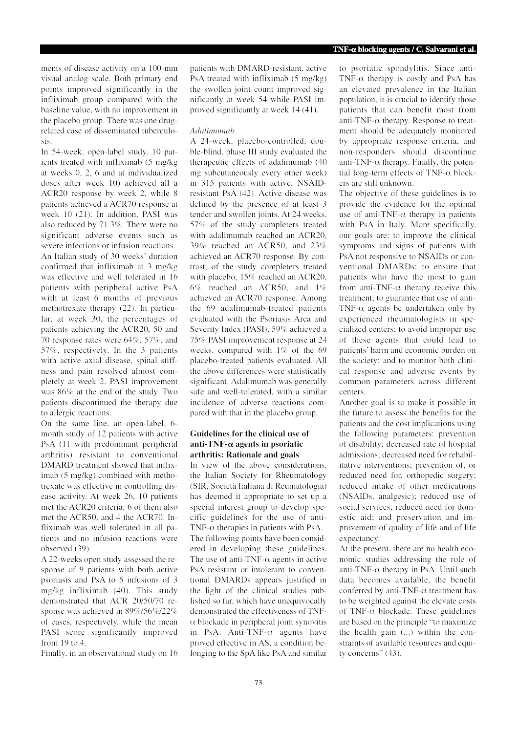ments of disease activity on a 100-mm visual analog scale. Both primary end points improved significantly in the infliximab group compared with the baseline value, with no improvement in the placebo group. There was one drugrelated case of disseminated tuberculosis.

In 54-week, open-label study, 10 patients treated with infliximab (5 mg/kg at weeks 0, 2, 6 and at individualized doses after week 10) achieved all a ACR20 response by week 2, while 8 patients achieved a ACR70 response at week 10 (21). In addition, PASI was also reduced by 71.3%. There were no significant adverse events such as severe infections or infusion reactions. An Italian study of 30 weeks' duration confirmed that infliximab at 3 mg/kg was effective and well tolerated in 16 patients with peripheral active PsA with at least 6 months of previous methotrexate therapy (22). In particular, at week 30, the percentages of patients achieving the ACR20, 50 and 70 response rates were 64%, 57%, and 57%, respectively. In the 3 patients with active axial disease, spinal stiffness and pain resolved almost completely at week 2. PASI improvement was 86% at the end of the study. Two patients discontinued the therapy due to allergic reactions.

On the same line, an open-label, 6 month study of 12 patients with active PsA (11 with predominant peripheral arthritis) resistant to conventional DMARD treatment showed that infliximab (5 mg/kg) combined with methotrexate was effective in controlling disease activity. At week 26, 10 patients met the ACR20 criteria; 6 of them also met the ACR50, and 4 the ACR70. Infliximab was well tolerated in all patients and no infusion reactions were observed (39).

A 22-weeks open study assessed the response of 9 patients with both active psoriasis and PsA to 5 infusions of 3 mg/kg infliximab (40). This study demonstrated that ACR 20/50/70 response was achieved in 89%/56%/22% of cases, respectively, while the mean PASI score significantly improved from 19 to 4.

Finally, in an observational study on 16

patients with DMARD-resistant, active PsA treated with infliximab (5 mg/kg) the swollen joint count improved significantly at week 54 while PASI improved significantly at week 14 (41).

## *Adalimumab*

A 24-week, placebo-controlled, double-blind, phase III study evaluated the therapeutic effects of adalimumab (40 mg subcutaneously every other week) in 315 patients with active, NSAIDresistant PsA (42). Active disease was defined by the presence of at least 3 tender and swollen joints. At 24 weeks, 57% of the study completers treated with adalimumab reached an ACR20, 39% reached an ACR50, and 23% achieved an ACR70 response. By contrast, of the study completers treated with placebo, 15% reached an ACR20, 6% reached an ACR50, and 1% achieved an ACR70 response. Among the 69 adalimumab-treated patients evaluated with the Psoriasis Area and Severity Index (PASI), 59% achieved a 75% PASI improvement response at 24 weeks, compared with 1% of the 69 placebo-treated patients evaluated. All the above differences were statistically significant. Adalimumab was generally safe and well-tolerated, with a similar incidence of adverse reactions compared with that in the placebo group.

# **Guidelines for the clinical use of anti-TNF-**α **agents in psoriatic arthritis: Rationale and goals**

In view of the above considerations, the Italian Society for Rheumatology (SIR, Società Italiana di Reumatologia) has deemed it appropriate to set up a special interest group to develop specific guidelines for the use of anti-TNF- $\alpha$  therapies in patients with PsA. The following points have been considered in developing these guidelines. The use of anti-TNF- $\alpha$  agents in active PsA resistant or intolerant to conventional DMARDs appears justified in the light of the clinical studies published so far, which have unequivocally demonstrated the effectiveness of TNF- $\alpha$  blockade in peripheral joint synovitis in PsA. Anti-TNF- $\alpha$  agents have proved effective in AS, a condition belonging to the SpA like PsA and similar to psoriatic spondylitis. Since anti-TNF- $\alpha$  therapy is costly and PsA has an elevated prevalence in the Italian population, it is crucial to identify those patients that can benefit most from anti-TNF- $\alpha$  therapy. Response to treatment should be adequately monitored by appropriate response criteria, and non-responders should discontinue anti-TNF- $\alpha$  therapy. Finally, the potential long-term effects of TNF-α blockers are still unknown.

The objective of these guidelines is to provide the evidence for the optimal use of anti-TNF- $\alpha$  therapy in patients with PsA in Italy. More specifically, our goals are: to improve the clinical symptoms and signs of patients with PsA not responsive to NSAIDs or conventional DMARDs; to ensure that patients who have the most to gain from anti-TNF- $\alpha$  therapy receive this treatment; to guarantee that use of anti-TNF- $\alpha$  agents be undertaken only by experienced rheumatologists in specialized centers; to avoid improper use of these agents that could lead to patients' harm and economic burden on the society; and to monitor both clinical response and adverse events by common parameters across different centers.

Another goal is to make it possible in the future to assess the benefits for the patients and the cost implications using the following parameters: prevention of disability; decreased rate of hospital admissions; decreased need for rehabilitative interventions; prevention of, or reduced need for, orthopedic surgery; reduced intake of other medications (NSAIDs, analgesic); reduced use of social services; reduced need for domestic aid; and preservation and improvement of quality of life and of life expectancy.

At the present, there are no health economic studies addressing the role of anti-TNF- $\alpha$  therapy in PsA. Until such data becomes available, the benefit conferred by anti-TNF- $\alpha$  treatment has to be weighted against the elevate costs of TNF- $\alpha$  blockade. These guidelines are based on the principle "to maximize the health gain (...) within the constraints of available resources and equity concerns" (43).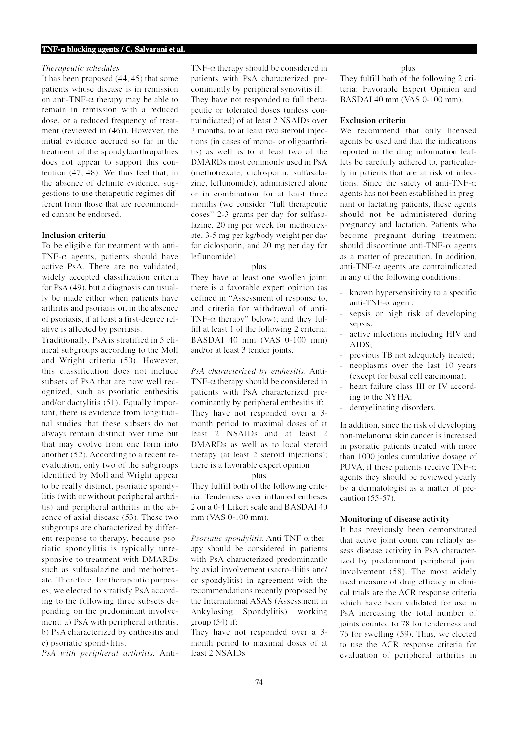## *Therapeutic schedules*

It has been proposed (44, 45) that some patients whose disease is in remission on anti-TNF- $\alpha$  therapy may be able to remain in remission with a reduced dose, or a reduced frequency of treatment (reviewed in (46)). However, the initial evidence accrued so far in the treatment of the spondyloarthropathies does not appear to support this contention (47, 48). We thus feel that, in the absence of definite evidence, suggestions to use therapeutic regimes different from those that are recommended cannot be endorsed.

# **Inclusion criteria**

To be eligible for treatment with anti-TNF- $\alpha$  agents, patients should have active PsA. There are no validated, widely accepted classification criteria for PsA (49), but a diagnosis can usually be made either when patients have arthritis and psoriasis or, in the absence of psoriasis, if at least a first-degree relative is affected by psoriasis.

Traditionally, PsA is stratified in 5 clinical subgroups according to the Moll and Wright criteria (50). However, this classification does not include subsets of PsA that are now well recognized, such as psoriatic enthesitis and/or dactylitis (51). Equally important, there is evidence from longitudinal studies that these subsets do not always remain distinct over time but that may evolve from one form into another (52). According to a recent reevaluation, only two of the subgroups identified by Moll and Wright appear to be really distinct, psoriatic spondylitis (with or without peripheral arthritis) and peripheral arthritis in the absence of axial disease (53). These two subgroups are characterized by different response to therapy, because psoriatic spondylitis is typically unresponsive to treatment with DMARDs such as sulfasalazine and methotrexate. Therefore, for therapeutic purposes, we elected to stratisfy PsA according to the following three subsets depending on the predominant involvement: a) PsA with peripheral arthritis, b) PsA characterized by enthesitis and c) psoriatic spondylitis.

*PsA with peripheral arthritis.* Anti-

TNF- $\alpha$  therapy should be considered in patients with PsA characterized predominantly by peripheral synovitis if: They have not responded to full therapeutic or tolerated doses (unless contraindicated) of at least 2 NSAIDs over 3 months, to at least two steroid injections (in cases of mono- or oligoarthritis) as well as to at least two of the DMARDs most commonly used in PsA (methotrexate, ciclosporin, sulfasalazine, leflunomide), administered alone or in combination for at least three months (we consider "full therapeutic doses" 2-3 grams per day for sulfasalazine, 20 mg per week for methotrexate, 3-5 mg per kg/body weight per day for ciclosporin, and 20 mg per day for leflunomide)

#### plus

They have at least one swollen joint; there is a favorable expert opinion (as defined in "Assessment of response to, and criteria for withdrawal of anti-TNF- $\alpha$  therapy" below); and they fulfill at least 1 of the following 2 criteria: BASDAI 40 mm (VAS 0-100 mm) and/or at least 3 tender joints.

*PsA characterized by enthesitis*. Anti-TNF- $\alpha$  therapy should be considered in patients with PsA characterized predominantly by peripheral enthesitis if: They have not responded over a 3 month period to maximal doses of at least 2 NSAIDs and at least 2 DMARDs as well as to local steroid therapy (at least 2 steroid injections); there is a favorable expert opinion

#### plus

They fulfill both of the following criteria: Tenderness over inflamed entheses 2 on a 0-4 Likert scale and BASDAI 40 mm (VAS 0-100 mm).

*Psoriatic spondylitis.* Anti-TNF-α therapy should be considered in patients with PsA characterized predominantly by axial involvement (sacro-iliitis and/ or spondylitis) in agreement with the recommendations recently proposed by the International ASAS (Assessment in Ankylosing Spondylitis) working group  $(54)$  if:

They have not responded over a 3 month period to maximal doses of at least 2 NSAIDs

plus

They fulfill both of the following 2 criteria: Favorable Expert Opinion and BASDAI 40 mm (VAS 0-100 mm).

# **Exclusion criteria**

We recommend that only licensed agents be used and that the indications reported in the drug information leaflets be carefully adhered to, particularly in patients that are at risk of infections. Since the safety of anti-TNF- $\alpha$ agents has not been established in pregnant or lactating patients, these agents should not be administered during pregnancy and lactation. Patients who become pregnant during treatment should discontinue anti-TNF- $\alpha$  agents as a matter of precaution. In addition, anti-TNF- $\alpha$  agents are controindicated in any of the following conditions:

- known hypersensitivity to a specific anti-TNF-α agent;
- sepsis or high risk of developing sepsis:
- active infections including HIV and AIDS;
- previous TB not adequately treated;
- neoplasms over the last 10 years (except for basal cell carcinoma);
- heart failure class III or IV according to the NYHA;
- demyelinating disorders.

In addition, since the risk of developing non-melanoma skin cancer is increased in psoriatic patients treated with more than 1000 joules cumulative dosage of PUVA, if these patients receive TNF- $\alpha$ agents they should be reviewed yearly by a dermatologist as a matter of precaution (55-57).

#### **Monitoring of disease activity**

It has previously been demonstrated that active joint count can reliably assess disease activity in PsA characterized by predominant peripheral joint involvement (58). The most widely used measure of drug efficacy in clinical trials are the ACR response criteria which have been validated for use in PsA increasing the total number of joints counted to 78 for tenderness and 76 for swelling (59). Thus, we elected to use the ACR response criteria for evaluation of peripheral arthritis in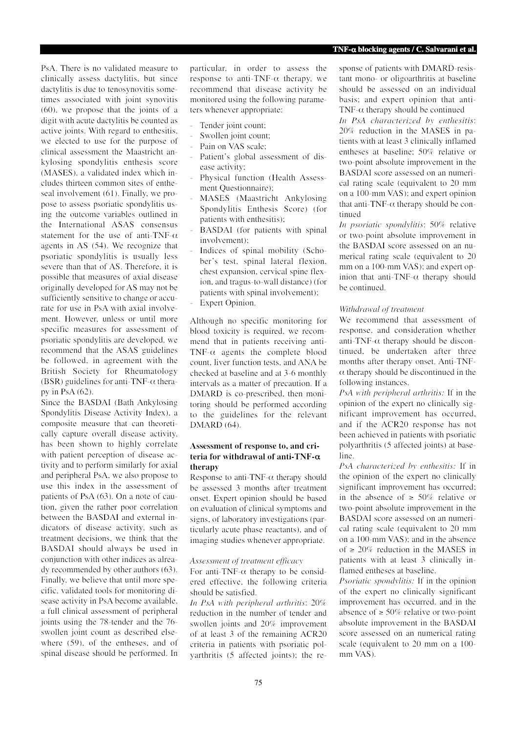PsA. There is no validated measure to clinically assess dactylitis, but since dactylitis is due to tenosynovitis sometimes associated with joint synovitis (60), we propose that the joints of a digit with acute dactylitis be counted as active joints. With regard to enthesitis, we elected to use for the purpose of clinical assessment the Maastricht ankylosing spondylitis enthesis score (MASES), a validated index which includes thirteen common sites of entheseal involvement (61). Finally, we propose to assess psoriatic spondylitis using the outcome variables outlined in the International ASAS consensus statement for the use of anti-TNF- $\alpha$ agents in AS (54). We recognize that psoriatic spondylitis is usually less severe than that of AS. Therefore, it is possible that measures of axial disease originally developed for AS may not be sufficiently sensitive to change or accurate for use in PsA with axial involvement. However, unless or until more specific measures for assessment of psoriatic spondylitis are developed, we recommend that the ASAS guidelines be followed, in agreement with the British Society for Rheumatology (BSR) guidelines for anti-TNF- $\alpha$  therapy in PsA (62).

Since the BASDAI (Bath Ankylosing Spondylitis Disease Activity Index), a composite measure that can theoretically capture overall disease activity, has been shown to highly correlate with patient perception of disease activity and to perform similarly for axial and peripheral PsA, we also propose to use this index in the assessment of patients of PsA (63). On a note of caution, given the rather poor correlation between the BASDAI and external indicators of disease activity, such as treatment decisions, we think that the BASDAI should always be used in conjunction with other indices as already recommended by other authors (63). Finally, we believe that until more specific, validated tools for monitoring disease activity in PsA become available, a full clinical assessment of peripheral joints using the 78-tender and the 76 swollen joint count as described elsewhere (59), of the entheses, and of spinal disease should be performed. In

particular, in order to assess the response to anti-TNF- $\alpha$  therapy, we recommend that disease activity be monitored using the following parameters whenever appropriate:

- Tender joint count;
- Swollen joint count;
- Pain on VAS scale;
- Patient's global assessment of disease activity;
- Physical function (Health Assessment Questionnaire);
- MASES (Maastricht Ankylosing Spondylitis Enthesis Score) (for patients with enthesitis);
- BASDAI (for patients with spinal involvement);
- Indices of spinal mobility (Schober's test, spinal lateral flexion, chest expansion, cervical spine flexion, and tragus-to-wall distance) (for patients with spinal involvement);
- Expert Opinion.

Although no specific monitoring for blood toxicity is required, we recommend that in patients receiving anti-TNF- $\alpha$  agents the complete blood count, liver function tests, and ANA be checked at baseline and at 3-6 monthly intervals as a matter of precaution. If a DMARD is co-prescribed, then monitoring should be performed according to the guidelines for the relevant DMARD (64).

# **Assessment of response to, and criteria for withdrawal of anti-TNF-**α **therapy**

Response to anti-TNF- $\alpha$  therapy should be assessed 3 months after treatment onset. Expert opinion should be based on evaluation of clinical symptoms and signs, of laboratory investigations (particularly acute phase reactants), and of imaging studies whenever appropriate.

# *Assessment of treatment efficacy*

For anti-TNF- $\alpha$  therapy to be considered effective, the following criteria should be satisfied.

*In PsA with peripheral arthritis*: 20% reduction in the number of tender and swollen joints and 20% improvement of at least 3 of the remaining ACR20 criteria in patients with psoriatic polyarthritis (5 affected joints); the response of patients with DMARD-resistant mono- or oligoarthritis at baseline should be assessed on an individual basis; and expert opinion that anti-TNF- $\alpha$  therapy should be continued

*In PsA characterized by enthesitis*: 20% reduction in the MASES in patients with at least 3 clinically inflamed entheses at baseline; 50% relative or two-point absolute improvement in the BASDAI score assessed on an numerical rating scale (equivalent to 20 mm on a 100-mm VAS); and expert opinion that anti-TNF- $\alpha$  therapy should be continued

*In psoriatic spondylitis*: 50% relative or two-point absolute improvement in the BASDAI score assessed on an numerical rating scale (equivalent to 20 mm on a 100-mm VAS); and expert opinion that anti-TNF- $\alpha$  therapy should be continued.

## *Withdrawal of treatment*

We recommend that assessment of response, and consideration whether anti-TNF- $\alpha$  therapy should be discontinued, be undertaken after three months after therapy onset. Anti-TNF- $\alpha$  therapy should be discontinued in the following instances.

*PsA with peripheral arthritis:* If in the opinion of the expert no clinically significant improvement has occurred, and if the ACR20 response has not been achieved in patients with psoriatic polyarthritis (5 affected joints) at baseline.

*PsA characterized by enthesitis:* If in the opinion of the expert no clinically significant improvement has occurred; in the absence of ≥ 50% relative or two-point absolute improvement in the BASDAI score assessed on an numerical rating scale (equivalent to 20 mm on a 100-mm VAS); and in the absence of  $\geq 20\%$  reduction in the MASES in patients with at least 3 clinically inflamed entheses at baseline.

*Psoriatic spondylitis:* If in the opinion of the expert no clinically significant improvement has occurred, and in the absence of  $\geq 50\%$  relative or two-point absolute improvement in the BASDAI score assessed on an numerical rating scale (equivalent to 20 mm on a 100 mm VAS).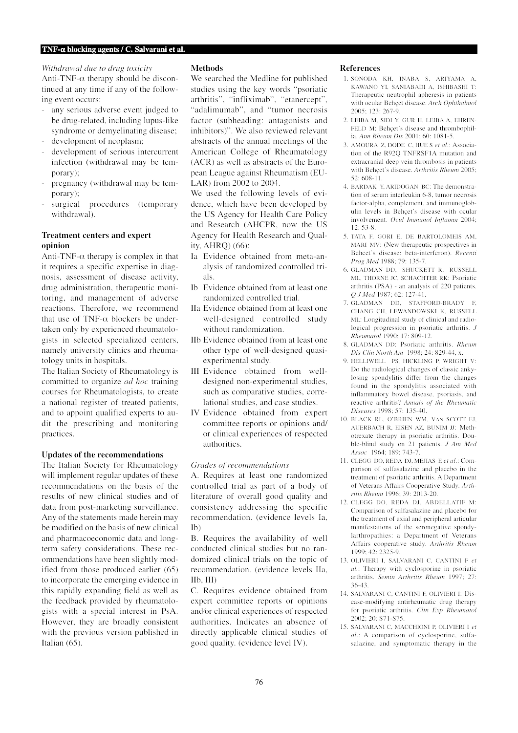*Withdrawal due to drug toxicity*

Anti-TNF- $\alpha$  therapy should be discontinued at any time if any of the following event occurs:

- any serious adverse event judged to be drug-related, including lupus-like syndrome or demyelinating disease;
- development of neoplasm;
- development of serious intercurrent infection (withdrawal may be temporary);
- pregnancy (withdrawal may be temporary);
- surgical procedures (temporary withdrawal).

# **Treatment centers and expert opinion**

Anti-TNF- $\alpha$  therapy is complex in that it requires a specific expertise in diagnosis, assessment of disease activity, drug administration, therapeutic monitoring, and management of adverse reactions. Therefore, we recommend that use of TNF- $\alpha$  blockers be undertaken only by experienced rheumatologists in selected specialized centers, namely university clinics and rheumatology units in hospitals.

The Italian Society of Rheumatology is committed to organize *ad hoc* training courses for Rheumatologists, to create a national register of treated patients, and to appoint qualified experts to audit the prescribing and monitoring practices.

# **Updates of the recommendations**

The Italian Society for Rheumatology will implement regular updates of these recommendations on the basis of the results of new clinical studies and of data from post-marketing surveillance. Any of the statements made herein may be modified on the basis of new clinical and pharmacoeconomic data and longterm safety considerations. These recommendations have been slightly modified from those produced earlier (65) to incorporate the emerging evidence in this rapidly expanding field as well as the feedback provided by rheumatologists with a special interest in PsA. However, they are broadly consistent with the previous version published in Italian (65).

## **Methods**

We searched the Medline for published studies using the key words "psoriatic arthritis", "infliximab", "etanercept", "adalimumab", and "tumor necrosis factor (subheading: antagonists and inhibitors)". We also reviewed relevant abstracts of the annual meetings of the American College of Rheumatology (ACR) as well as abstracts of the European League against Rheumatism (EU-LAR) from 2002 to 2004.

We used the following levels of evidence, which have been developed by the US Agency for Health Care Policy and Research (AHCPR, now the US Agency for Health Research and Quality, AHRQ) (66):

- Ia Evidence obtained from meta-analysis of randomized controlled trials.
- Ib Evidence obtained from at least one randomized controlled trial.
- IIa Evidence obtained from at least one well-designed controlled study without randomization.
- IIb Evidence obtained from at least one other type of well-designed quasiexperimental study.
- III Evidence obtained from welldesigned non-experimental studies, such as comparative studies, correlational studies, and case studies.
- IV Evidence obtained from expert committee reports or opinions and/ or clinical experiences of respected authorities.

#### *Grades of recommendations*

A. Requires at least one randomized controlled trial as part of a body of literature of overall good quality and consistency addressing the specific recommendation. (evidence levels Ia, Ib)

B. Requires the availability of well conducted clinical studies but no randomized clinical trials on the topic of recommendation. (evidence levels IIa, IIb, III)

C. Requires evidence obtained from expert committee reports or opinions and⁄or clinical experiences of respected authorities. Indicates an absence of directly applicable clinical studies of good quality. (evidence level IV).

#### **References**

- 1. SONODA KH, INABA S, ARIYAMA A, KAWANO YI, SANIABADI A, ISHIBASHI T: Therapeutic neutrophil apheresis in patients with ocular Behçet disease. *Arch Ophthalmol* 2005; 123: 267-9.
- 2. LEIBA M, SIDI Y, GUR H, LEIBA A, EHREN-FELD M: Behçet's disease and thrombophilia. *Ann Rheum Dis* 2001; 60: 1081-5.
- 3. AMOURA Z, DODE C, HUE S *et al*.: Association of the R92Q TNFRSF1A mutation and extracranial deep vein thrombosis in patients with Behçet's disease. *Arthritis Rheum* 2005; 52: 608-11.
- 4. BARDAK Y, ARIDOGAN BC: The demonstration of serum interleukin 6-8, tumor necrosis factor-alpha, complement, and immunoglobulin levels in Behçet's disease with ocular involvement. *Ocul Immunol Inflamm* 2004;  $12: 53-8.$
- 5. TATA F, GORI E, DE BARTOLOMEIS AM, MARI MV: (New therapeutic prospectives in Behcet's disease: beta-interferon). *Recenti Prog Med* 1988; 79: 135-7.
- 6. GLADMAN DD, SHUCKETT R, RUSSELL ML, THORNE JC, SCHACHTER RK: Psoriatic arthritis (PSA) - an analysis of 220 patients. *Q J Med* 1987; 62: 127-41.
- 7. GLADMAN DD, STAFFORD-BRADY F, CHANG CH, LEWANDOWSKI K, RUSSELL ML: Longitudinal study of clinical and radiological progression in psoriatic arthritis. *J Rheumatol* 1990; 17: 809-12.
- 8. GLADMAN DD: Psoriatic arthritis. *Rheum Dis Clin North Am* 1998; 24: 829-44, x.
- 9. HELLIWELL PS, HICKLING P, WRIGHT V: Do the radiological changes of classic ankylosing spondylitis differ from the changes found in the spondylitis associated with inflammatory bowel disease, psoriasis, and reactive arthritis? *Annals of the Rheumatic Diseases* 1998; 57: 135-40.
- 10. BLACK RL, O'BRIEN WM, VAN SCOTT EJ, AUERBACH R, EISEN AZ, BUNIM JJ: Methotrexate therapy in psoriatic arthritis. Double-blind study on 21 patients. *J Am Med Assoc* 1964; 189: 743-7.
- 11. CLEGG DO, REDA DJ, MEJIAS E *et al*.: Comparison of sulfasalazine and placebo in the treatment of psoriatic arthritis. A Department of Veterans Affairs Cooperative Study. *Arthritis Rheum* 1996; 39: 2013-20.
- 12. CLEGG DO, REDA DJ, ABDELLATIF M: Comparison of sulfasalazine and placebo for the treatment of axial and peripheral articular manifestations of the seronegative spondylarthropathies: a Department of Veterans Affairs cooperative study. *Arthritis Rheum* 1999; 42: 2325-9.
- 13. OLIVIERI I, SALVARANI C, CANTINI F *et al.*: Therapy with cyclosporine in psoriatic arthritis. *Semin Arthritis Rheum* 1997; 27: 36-43.
- 14. SALVARANI C, CANTINI F, OLIVIERI I: Disease-modifying antirheumatic drug therapy for psoriatic arthritis. *Clin Exp Rheumatol* 2002; 20: S71-S75.
- 15. SALVARANI C, MACCHIONI P, OLIVIERI I *et al*.: A comparison of cyclosporine, sulfasalazine, and symptomatic therapy in the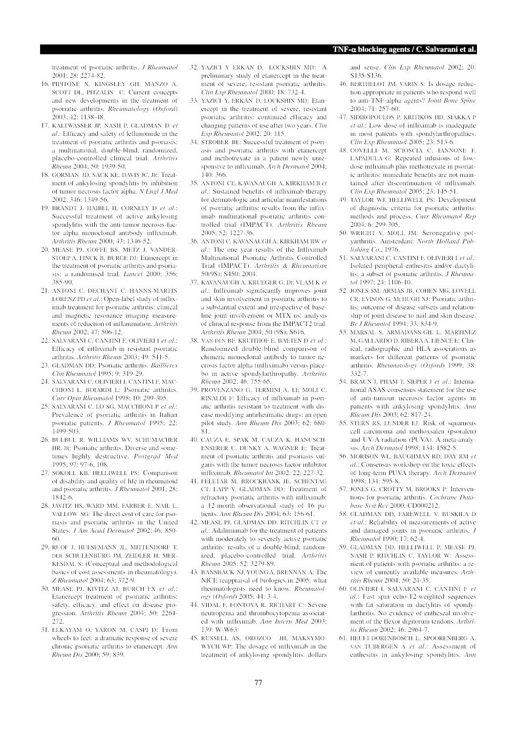treatment of psoriatic arthritis. *J Rheumatol* 2001; 28: 2274-82.

- 16. PIPITONE N, KINGSLEY GH, MANZO A, SCOTT DL, PITZALIS C: Current concepts and new developments in the treatment of psoriatic arthritis. *Rheumatology* (*Oxford*) 2003; 42: 1138-48.
- 17. KALTWASSER JP, NASH P, GLADMAN D *et al*.: Efficacy and safety of leflunomide in the treatment of psoriatic arthritis and psoriasis: a multinational, double-blind, randomized, placebo-controlled clinical trial. *Arthritis Rheum* 2004; 50: 1939-50.
- 18. GORMAN JD, SACK KE, DAVIS JC, JR: Treatment of ankylosing spondylitis by inhibition of tumor necrosis factor alpha. *N Engl J Med* 2002; 346: 1349-56.
- 19. BRANDT J, HAIBEL H, CORNELY D *et al*.: Successful treatment of active ankylosing spondylitis with the anti-tumor necrosis factor alpha monoclonal antibody infliximab. *Arthritis Rheum* 2000; 43: 1346-52.
- 20. MEASE PJ, GOFFE BS, METZ J, VANDER-STOEP A, FINCK B, BURGE DJ: Etanercept in the treatment of psoriatic arthritis and psoriasis: a randomised trial. *Lancet* 2000; 356: 385-90.
- 21. ANTONI C, DECHANT C, HANNS-MARTIN LORENZ PD *et al*.: Open-label study of infliximab treatment for psoriatic arthritis: clinical and magnetic resonance imaging measurements of reduction of inflammation. *Arthritis Rheum* 2002; 47: 506-12.
- 22. SALVARANI C, CANTINI F, OLIVIERI I *et al*.: Efficacy of infliximab in resistant psoriatic arthritis. *Arthritis Rheum* 2003; 49: 541-5.
- 23. GLADMAN DD: Psoriatic arthritis. *Baillières Clin Rheumatol* 1995; 9: 319-29.
- 24. SALVARANI C, OLIVIERI I, CANTINI F, MAC-CHIONI L, BOIARDI L: Psoriatic arthritis. *Curr Opin Rheumatol* 1998; 10: 299-305.
- 25. SALVARANI C, LO SG, MACCHIONI P *et al*.: Prevalence of psoriatic arthritis in Italian psoriatic patients. *J Rheumatol* 1995; 22: 1499-503.
- 26. BULBUL R, WILLIAMS WV, SCHUMACHER HR, JR: Psoriatic arthritis. Diverse and sometimes highly destructive. *Postgrad Med* 1995; 97: 97-6, 108.
- 27. SOKOLL KB, HELLIWELL PS: Comparison of disability and quality of life in rheumatoid and psoriatic arthritis. *J Rheumatol* 2001; 28: 1842-6.
- 28. JAVITZ HS, WARD MM, FARBER E, NAIL L, VALLOW SG: The direct cost of care for psoriasis and psoriatic arthritis in the United States. *J Am Acad Dermatol* 2002; 46: 850- 60.
- 29. RUOF J, HULSEMANN JL, MITTENDORF T, DER SCHULENBURG JM, ZEIDLER H, MER-KESDAL S: (Conceptual and methodological basics of cost assessments in rheumatology). *Z Rheumatol* 2004; 63: 372-9.
- 30. MEASE PJ, KIVITZ AJ, BURCH FX *et al*.: Etanercept treatment of psoriatic arthritis: safety, efficacy, and effect on disease progression. *Arthritis Rheum* 2004; 50: 2264- 272.
- 31. ELKAYAM O, YARON M, CASPI D: From wheels to feet: a dramatic response of severe chronic psoriatic arthritis to etanercept. *Ann Rheum Dis* 2000; 59: 839.
- 32. YAZICI Y ERKAN D, LOCKSHIN MD: A preliminary study of etanercept in the treatment of severe, resistant psoriatic arthritis. *Clin Exp Rheumatol* 2000; 18: 732-4.
- 33. YAZICI Y, ERKAN D, LOCKSHIN MD: Etanercept in the treatment of severe, resistant psoriatic arthritis: continued efficacy and changing patterns of use after two years. *Clin Exp Rheumatol* 2002; 20: 115.
- 34. STROBER BE: Successful treatment of psoriasis and psoriatic arthritis with etanercept and methotrexate in a patient newly unresponsive to infliximab. *Arch Dermatol* 2004; 140: 366.
- 35. ANTONI CE, KAVANAUGH A, KIRKHAM B *et al*.: Sustained benefits of infliximab therapy for dermatologic and articular manifestations of psoriatic arthritis: results from the infliximab multinational psoriatic arthritis controlled trial (IMPACT). *Arthritis Rheum* 2005; 52: 1227-36.
- 36. ANTONI C, KAVANAUGH A, KIRKHAM BW *et al*.: The one year results of the Infliximab Multinational Psoriatic Arthritis Controlled Trial (IMPACT). *Arthritis & Rheumatism* 50(9S); S450: 2004.
- 37. KAVANAUGH A, KRUEGER G, DE VLAM K *et al*.: Infliximab significantly improves joint and skin involvement in psoriatic arthritis to a substantial extent and irrespective of baseline joint involvement or MTX us: analysis of clinical response from the IMPACT2 trial. *Arthritis Rheum* 2004; 50 (9S); S616.
- 38. VAN DEN BF, KRUITHOF E, BAETEN D *et al*.: Randomized double-blind comparison of chimeric monoclonal antibody to tumor necrosis factor alpha (infliximab) versus placebo in active spondylarthropathy. *Arthritis Rheum* 2002; 46: 755-65.
- 39. PROVENZANO G, TERMINI A, LE MOLI C, RINALDI F: Efficacy of infliximab in psoriatic arthritis resistant to treatment with disease modifying antirheumatic drugs: an open pilot study. *Ann Rheum Dis* 2003; 62: 680- 81.
- 40. CAUZA E, SPAK M, CAUZA K, HANUSCH-ENSERER U, DUNKY A, WAGNER E: Treatment of psoriatic arthritis and psoriasis vulgaris with the tumor necrosis factor inhibitor infliximab. *Rheumatol Int* 2002; 22: 227-32.
- 41. FELETAR M, BROCKBANK JE, SCHENTAG CT, LAPP V, GLADMAN DD: Treatment of refractory psoriatic arthritis with infliximab: a 12-month observational study of 16 patients. *Ann Rheum Dis* 2004; 63: 156-61.
- 42. MEASE PJ, GLADMAN DD, RITCHLIN CT *et al*.: Adalimumab for the treatment of patients with moderately to severely active psoriatic arthritis: results of a double-blind, randomized, placebo-controlled trial. *Arthritis Rheum* 2005; 52: 3279-89.
- 43. BANSBACK NJ, YOUNG A, BRENNAN A: The NICE reappraisal of biologics in 2005: what rheumatologists need to know. *Rheumatology* (*Oxford*) 2005; 44: 3-4.
- 44. VIDAL F, FONTOVA R, RICHART C: Severe neutropenia and thrombocytopenia associated with infliximab. *Ann Intern Med* 2003; 139: W-W63.
- 45. RUSSELL AS, OROZCO JH, MAKSYMO-WYCH WP: The dosage of infliximab in the treatment of ankylosing spondylitis: dollars

and sense. *Clin Exp Rheumatol* 2002; 20: S135-S136.

- 46. BERTHELOT JM, VARIN S: Is dosage reduction appropriate in patients who respond well to anti-TNF-alpha agents? *Joint Bone Spine* 2004; 71: 257-60.
- 47. SIDIROPOULOS P, KRITIKOS HD, SIAKKA P *et al*.: Low dose of infliximab is inadequate in most patients with spondylarthropathies. *Clin Exp Rheumatol* 2005; 23: 513-6.
- 48. COVELLI M, SCIOSCIA C, IANNONE F, LAPADULA G: Repeated infusions of lowdose infliximab plus methotrexate in psoriatic arthritis: immediate benefits are not maintained after discontinuation of infliximab. *Clin Exp Rheumatol* 2005; 23: 145-51.
- 49. TAYLOR WJ, HELLIWELL PS: Development of diagnostic criteria for psoriatic arthritis: methods and process. *Curr Rheumatol Rep* 2004; 6: 299-305.
- 50. WRIGHT V, MOLL JM: Seronegative polyarthritis. Amsterdam: *North Holland Publishing Co*., 1976.
- 51. SALVARANI C, CANTINI F, OLIVIERI I *et al*.: Isolated peripheral enthesitis and/or dactylitis: a subset of psoriatic arthritis. *J Rheumatol* 1997; 24: 1106-10.
- 52. JONES SM, ARMAS JB, COHEN MG, LOVELL CR, EVISON G, MCHUGH NJ: Psoriatic arthritis: outcome of disease subsets and relationship of joint disease to nail and skin disease. *Br J Rheumtol* 1994; 33: 834-9.
- 53. MARSAL S, ARMADANS-GIL L, MARTINEZ M, GALLARDO D, RIBERAA, LIENCE E: Clinical, radiographic and HLA associations as markers for different patterns of psoriatic arthritis. *Rheumatology* (*Oxford*) 1999; 38: 332-7.
- 54. BRAUN J, PHAM T, SIEPER J *et al*.: International ASAS consensus statement for the use of anti-tumour necrosis factor agents in patients with ankylosing spondylitis. *Ann Rheum Dis* 2003; 62: 817-24.
- 55. STERN RS, LUNDER EJ: Risk of squamous cell carcinoma and methoxsalen (psoralen) and UV-A radiation (PUVA). A meta-analysis. *Arch Dermatol* 1998; 134: 1582-5.
- 56. MORISON WL, BAUGHMAN RD, DAY RM *et al*.: Consensus workshop on the toxic effects of long-term PUVA therapy. *Arch Dermatol* 1998; 134: 595-8.
- 57. JONES G, CROTTY M, BROOKS P: Interventions for psoriatic arthritis. *Cochrane Database Syst Rev* 2000; CD000212.
- 58. GLADMAN DD, FAREWELL V, BUSKILA D *et al*.: Reliability of measurements of active and damaged joints in psoriatic arthritis. *J Rheumatol* 1990; 17: 62-4.
- 59. GLADMAN DD, HELLIWELL P, MEASE PJ, NASH P, RITCHLIN C, TAYLOR W: Assessment of patients with psoriatic arthritis: a review of currently available measures. *Arthritis Rheum* 2004; 50: 24-35.
- 60. OLIVIERI I, SALVARANI C, CANTINI F *et al*.: Fast spin echo-T2-weighted sequences with fat saturation in dactylitis of spondylarthritis. No evidence of entheseal involvement of the flexor digitorum tendons. *Arthritis Rheum* 2002; 46: 2964-7.
- 61. HEUFT-DORENBOSCH L, SPOORENBERG A, VAN TUBERGEN A *et al*.: Assessment of enthesitis in ankylosing spondylitis. *Ann*